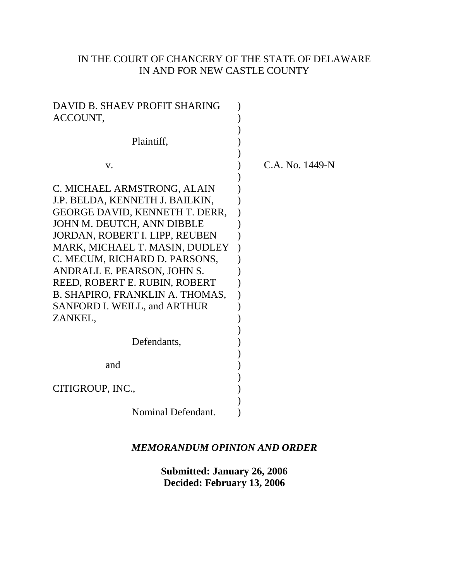# IN THE COURT OF CHANCERY OF THE STATE OF DELAWARE IN AND FOR NEW CASTLE COUNTY

| DAVID B. SHAEV PROFIT SHARING<br>ACCOUNT,                                                                                                                                                                                                                                                                                                                                                |                 |
|------------------------------------------------------------------------------------------------------------------------------------------------------------------------------------------------------------------------------------------------------------------------------------------------------------------------------------------------------------------------------------------|-----------------|
| Plaintiff,                                                                                                                                                                                                                                                                                                                                                                               |                 |
| V.                                                                                                                                                                                                                                                                                                                                                                                       | C.A. No. 1449-N |
| C. MICHAEL ARMSTRONG, ALAIN<br>J.P. BELDA, KENNETH J. BAILKIN,<br>GEORGE DAVID, KENNETH T. DERR,<br>JOHN M. DEUTCH, ANN DIBBLE<br>JORDAN, ROBERT I. LIPP, REUBEN<br>MARK, MICHAEL T. MASIN, DUDLEY<br>C. MECUM, RICHARD D. PARSONS,<br>ANDRALL E. PEARSON, JOHN S.<br>REED, ROBERT E. RUBIN, ROBERT<br>B. SHAPIRO, FRANKLIN A. THOMAS,<br><b>SANFORD I. WEILL, and ARTHUR</b><br>ZANKEL, |                 |
| Defendants,                                                                                                                                                                                                                                                                                                                                                                              |                 |
| and                                                                                                                                                                                                                                                                                                                                                                                      |                 |
| CITIGROUP, INC.,                                                                                                                                                                                                                                                                                                                                                                         |                 |
| Nominal Defendant.                                                                                                                                                                                                                                                                                                                                                                       |                 |

# *MEMORANDUM OPINION AND ORDER*

**Submitted: January 26, 2006 Decided: February 13, 2006**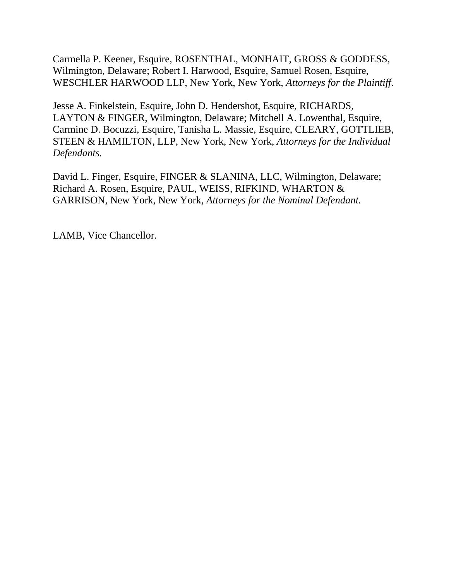Carmella P. Keener, Esquire, ROSENTHAL, MONHAIT, GROSS & GODDESS, Wilmington, Delaware; Robert I. Harwood, Esquire, Samuel Rosen, Esquire, WESCHLER HARWOOD LLP, New York, New York, *Attorneys for the Plaintiff*.

Jesse A. Finkelstein, Esquire, John D. Hendershot, Esquire, RICHARDS, LAYTON & FINGER, Wilmington, Delaware; Mitchell A. Lowenthal, Esquire, Carmine D. Bocuzzi, Esquire, Tanisha L. Massie, Esquire, CLEARY, GOTTLIEB, STEEN & HAMILTON, LLP, New York, New York, *Attorneys for the Individual Defendants.*

David L. Finger, Esquire, FINGER & SLANINA, LLC, Wilmington, Delaware; Richard A. Rosen, Esquire, PAUL, WEISS, RIFKIND, WHARTON & GARRISON, New York, New York, *Attorneys for the Nominal Defendant.*

LAMB, Vice Chancellor.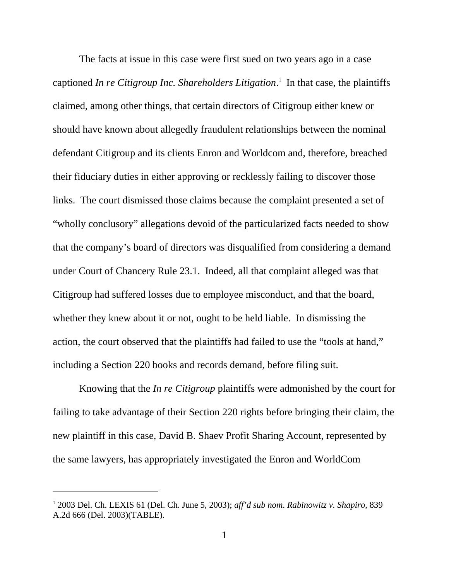The facts at issue in this case were first sued on two years ago in a case captioned *In re Citigroup Inc. Shareholders Litigation*.<sup>1</sup> In that case, the plaintiffs claimed, among other things, that certain directors of Citigroup either knew or should have known about allegedly fraudulent relationships between the nominal defendant Citigroup and its clients Enron and Worldcom and, therefore, breached their fiduciary duties in either approving or recklessly failing to discover those links. The court dismissed those claims because the complaint presented a set of "wholly conclusory" allegations devoid of the particularized facts needed to show that the company's board of directors was disqualified from considering a demand under Court of Chancery Rule 23.1. Indeed, all that complaint alleged was that Citigroup had suffered losses due to employee misconduct, and that the board, whether they knew about it or not, ought to be held liable. In dismissing the action, the court observed that the plaintiffs had failed to use the "tools at hand," including a Section 220 books and records demand, before filing suit.

Knowing that the *In re Citigroup* plaintiffs were admonished by the court for failing to take advantage of their Section 220 rights before bringing their claim, the new plaintiff in this case, David B. Shaev Profit Sharing Account, represented by the same lawyers, has appropriately investigated the Enron and WorldCom

<sup>1</sup> 2003 Del. Ch. LEXIS 61 (Del. Ch. June 5, 2003); *aff'd sub nom*. *Rabinowitz v. Shapiro*, 839 A.2d 666 (Del. 2003)(TABLE).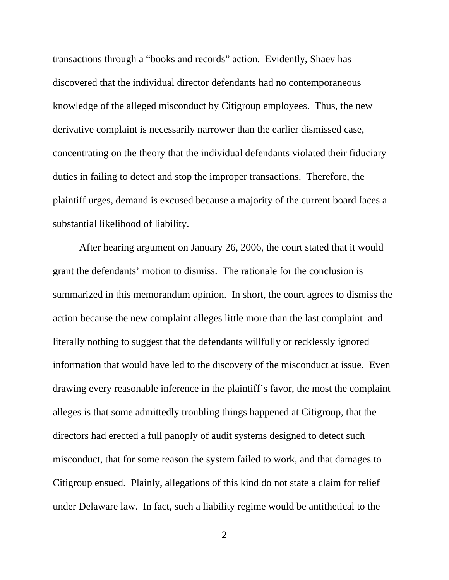transactions through a "books and records" action. Evidently, Shaev has discovered that the individual director defendants had no contemporaneous knowledge of the alleged misconduct by Citigroup employees. Thus, the new derivative complaint is necessarily narrower than the earlier dismissed case, concentrating on the theory that the individual defendants violated their fiduciary duties in failing to detect and stop the improper transactions. Therefore, the plaintiff urges, demand is excused because a majority of the current board faces a substantial likelihood of liability.

After hearing argument on January 26, 2006, the court stated that it would grant the defendants' motion to dismiss. The rationale for the conclusion is summarized in this memorandum opinion. In short, the court agrees to dismiss the action because the new complaint alleges little more than the last complaint–and literally nothing to suggest that the defendants willfully or recklessly ignored information that would have led to the discovery of the misconduct at issue. Even drawing every reasonable inference in the plaintiff's favor, the most the complaint alleges is that some admittedly troubling things happened at Citigroup, that the directors had erected a full panoply of audit systems designed to detect such misconduct, that for some reason the system failed to work, and that damages to Citigroup ensued. Plainly, allegations of this kind do not state a claim for relief under Delaware law. In fact, such a liability regime would be antithetical to the

2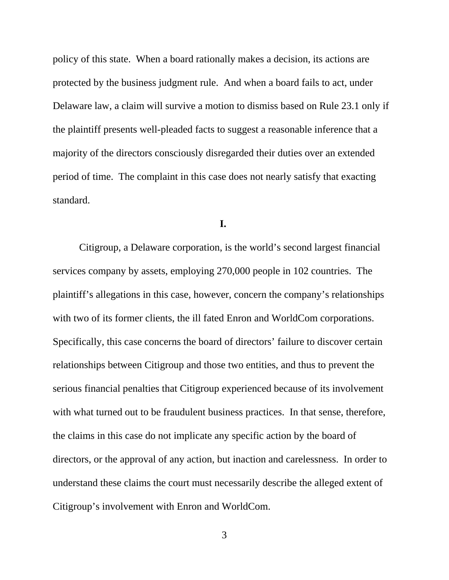policy of this state. When a board rationally makes a decision, its actions are protected by the business judgment rule. And when a board fails to act, under Delaware law, a claim will survive a motion to dismiss based on Rule 23.1 only if the plaintiff presents well-pleaded facts to suggest a reasonable inference that a majority of the directors consciously disregarded their duties over an extended period of time. The complaint in this case does not nearly satisfy that exacting standard.

**I.**

Citigroup, a Delaware corporation, is the world's second largest financial services company by assets, employing 270,000 people in 102 countries. The plaintiff's allegations in this case, however, concern the company's relationships with two of its former clients, the ill fated Enron and WorldCom corporations. Specifically, this case concerns the board of directors' failure to discover certain relationships between Citigroup and those two entities, and thus to prevent the serious financial penalties that Citigroup experienced because of its involvement with what turned out to be fraudulent business practices. In that sense, therefore, the claims in this case do not implicate any specific action by the board of directors, or the approval of any action, but inaction and carelessness. In order to understand these claims the court must necessarily describe the alleged extent of Citigroup's involvement with Enron and WorldCom.

3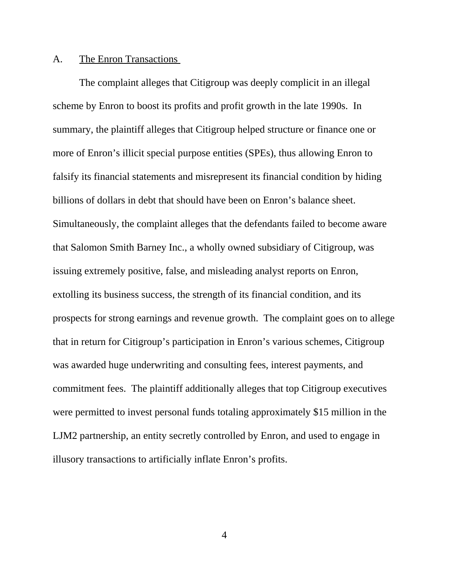### A. The Enron Transactions

The complaint alleges that Citigroup was deeply complicit in an illegal scheme by Enron to boost its profits and profit growth in the late 1990s. In summary, the plaintiff alleges that Citigroup helped structure or finance one or more of Enron's illicit special purpose entities (SPEs), thus allowing Enron to falsify its financial statements and misrepresent its financial condition by hiding billions of dollars in debt that should have been on Enron's balance sheet. Simultaneously, the complaint alleges that the defendants failed to become aware that Salomon Smith Barney Inc., a wholly owned subsidiary of Citigroup, was issuing extremely positive, false, and misleading analyst reports on Enron, extolling its business success, the strength of its financial condition, and its prospects for strong earnings and revenue growth. The complaint goes on to allege that in return for Citigroup's participation in Enron's various schemes, Citigroup was awarded huge underwriting and consulting fees, interest payments, and commitment fees. The plaintiff additionally alleges that top Citigroup executives were permitted to invest personal funds totaling approximately \$15 million in the LJM2 partnership, an entity secretly controlled by Enron, and used to engage in illusory transactions to artificially inflate Enron's profits.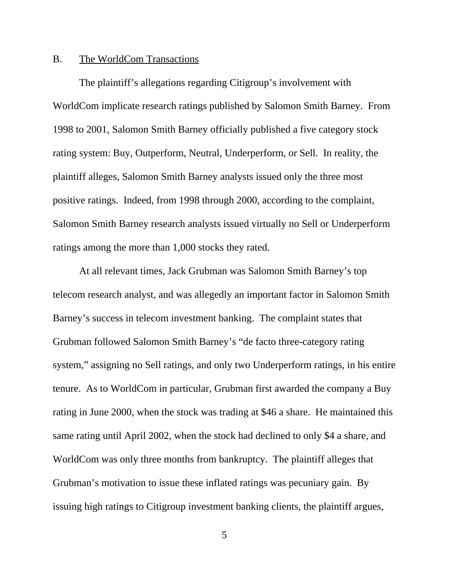# B. The WorldCom Transactions

The plaintiff's allegations regarding Citigroup's involvement with WorldCom implicate research ratings published by Salomon Smith Barney. From 1998 to 2001, Salomon Smith Barney officially published a five category stock rating system: Buy, Outperform, Neutral, Underperform, or Sell. In reality, the plaintiff alleges, Salomon Smith Barney analysts issued only the three most positive ratings. Indeed, from 1998 through 2000, according to the complaint, Salomon Smith Barney research analysts issued virtually no Sell or Underperform ratings among the more than 1,000 stocks they rated.

At all relevant times, Jack Grubman was Salomon Smith Barney's top telecom research analyst, and was allegedly an important factor in Salomon Smith Barney's success in telecom investment banking. The complaint states that Grubman followed Salomon Smith Barney's "de facto three-category rating system," assigning no Sell ratings, and only two Underperform ratings, in his entire tenure. As to WorldCom in particular, Grubman first awarded the company a Buy rating in June 2000, when the stock was trading at \$46 a share. He maintained this same rating until April 2002, when the stock had declined to only \$4 a share, and WorldCom was only three months from bankruptcy. The plaintiff alleges that Grubman's motivation to issue these inflated ratings was pecuniary gain. By issuing high ratings to Citigroup investment banking clients, the plaintiff argues,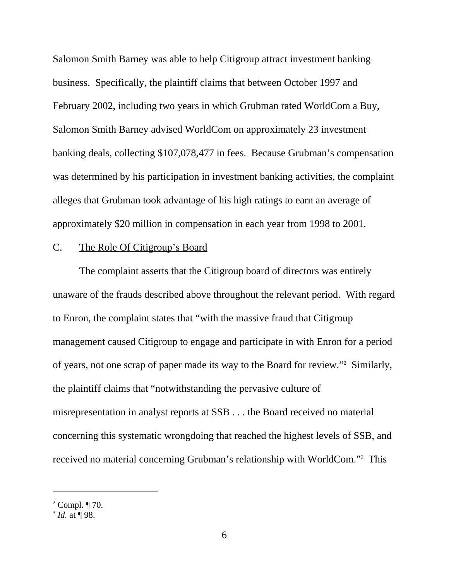Salomon Smith Barney was able to help Citigroup attract investment banking business. Specifically, the plaintiff claims that between October 1997 and February 2002, including two years in which Grubman rated WorldCom a Buy, Salomon Smith Barney advised WorldCom on approximately 23 investment banking deals, collecting \$107,078,477 in fees. Because Grubman's compensation was determined by his participation in investment banking activities, the complaint alleges that Grubman took advantage of his high ratings to earn an average of approximately \$20 million in compensation in each year from 1998 to 2001.

## C. The Role Of Citigroup's Board

The complaint asserts that the Citigroup board of directors was entirely unaware of the frauds described above throughout the relevant period. With regard to Enron, the complaint states that "with the massive fraud that Citigroup management caused Citigroup to engage and participate in with Enron for a period of years, not one scrap of paper made its way to the Board for review."2 Similarly, the plaintiff claims that "notwithstanding the pervasive culture of misrepresentation in analyst reports at SSB . . . the Board received no material concerning this systematic wrongdoing that reached the highest levels of SSB, and received no material concerning Grubman's relationship with WorldCom."<sup>3</sup> This

 $2$  Compl.  $\P$  70.

 $3$  *Id.* at ¶ 98.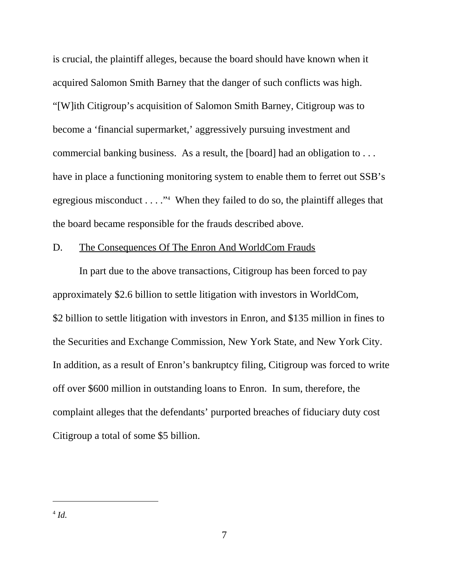is crucial, the plaintiff alleges, because the board should have known when it acquired Salomon Smith Barney that the danger of such conflicts was high. "[W]ith Citigroup's acquisition of Salomon Smith Barney, Citigroup was to become a 'financial supermarket,' aggressively pursuing investment and commercial banking business. As a result, the [board] had an obligation to . . . have in place a functioning monitoring system to enable them to ferret out SSB's egregious misconduct . . . ."<sup>4</sup> When they failed to do so, the plaintiff alleges that the board became responsible for the frauds described above.

### D. The Consequences Of The Enron And WorldCom Frauds

In part due to the above transactions, Citigroup has been forced to pay approximately \$2.6 billion to settle litigation with investors in WorldCom, \$2 billion to settle litigation with investors in Enron, and \$135 million in fines to the Securities and Exchange Commission, New York State, and New York City. In addition, as a result of Enron's bankruptcy filing, Citigroup was forced to write off over \$600 million in outstanding loans to Enron. In sum, therefore, the complaint alleges that the defendants' purported breaches of fiduciary duty cost Citigroup a total of some \$5 billion.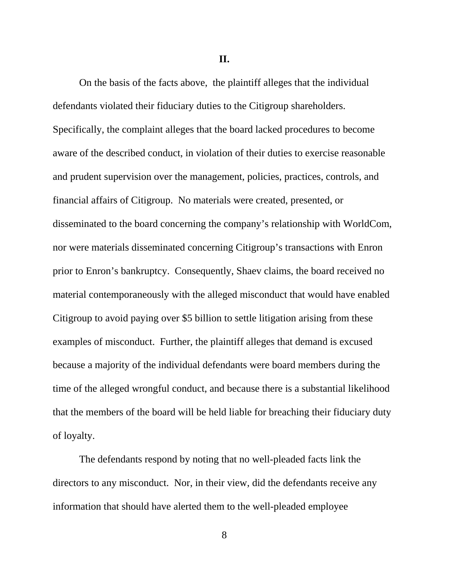**II.**

On the basis of the facts above, the plaintiff alleges that the individual defendants violated their fiduciary duties to the Citigroup shareholders. Specifically, the complaint alleges that the board lacked procedures to become aware of the described conduct, in violation of their duties to exercise reasonable and prudent supervision over the management, policies, practices, controls, and financial affairs of Citigroup. No materials were created, presented, or disseminated to the board concerning the company's relationship with WorldCom, nor were materials disseminated concerning Citigroup's transactions with Enron prior to Enron's bankruptcy. Consequently, Shaev claims, the board received no material contemporaneously with the alleged misconduct that would have enabled Citigroup to avoid paying over \$5 billion to settle litigation arising from these examples of misconduct. Further, the plaintiff alleges that demand is excused because a majority of the individual defendants were board members during the time of the alleged wrongful conduct, and because there is a substantial likelihood that the members of the board will be held liable for breaching their fiduciary duty of loyalty.

The defendants respond by noting that no well-pleaded facts link the directors to any misconduct. Nor, in their view, did the defendants receive any information that should have alerted them to the well-pleaded employee

8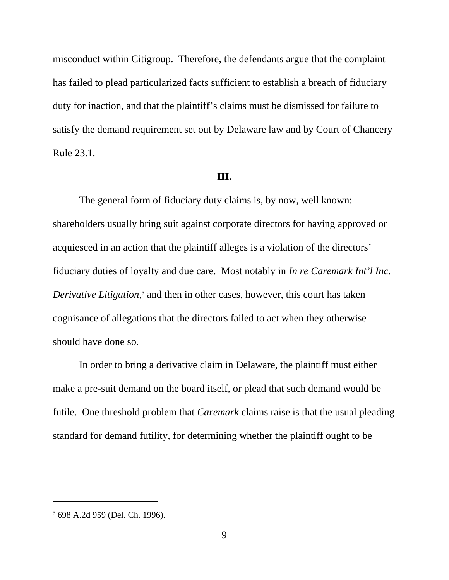misconduct within Citigroup. Therefore, the defendants argue that the complaint has failed to plead particularized facts sufficient to establish a breach of fiduciary duty for inaction, and that the plaintiff's claims must be dismissed for failure to satisfy the demand requirement set out by Delaware law and by Court of Chancery Rule 23.1.

#### **III.**

The general form of fiduciary duty claims is, by now, well known: shareholders usually bring suit against corporate directors for having approved or acquiesced in an action that the plaintiff alleges is a violation of the directors' fiduciary duties of loyalty and due care. Most notably in *In re Caremark Int'l Inc.* Derivative Litigation,<sup>5</sup> and then in other cases, however, this court has taken cognisance of allegations that the directors failed to act when they otherwise should have done so.

In order to bring a derivative claim in Delaware, the plaintiff must either make a pre-suit demand on the board itself, or plead that such demand would be futile. One threshold problem that *Caremark* claims raise is that the usual pleading standard for demand futility, for determining whether the plaintiff ought to be

<sup>5</sup> 698 A.2d 959 (Del. Ch. 1996).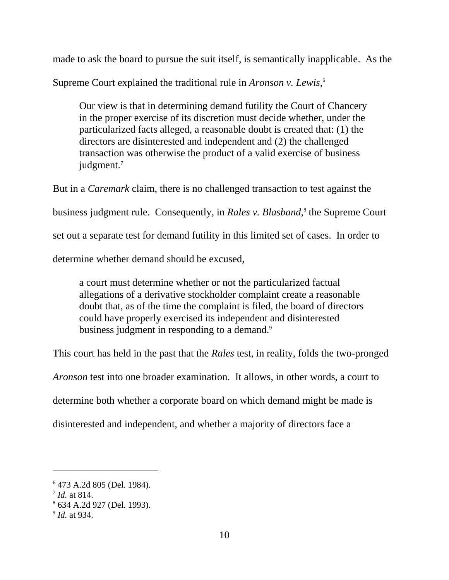made to ask the board to pursue the suit itself, is semantically inapplicable. As the

Supreme Court explained the traditional rule in *Aronson v. Lewis*, 6

Our view is that in determining demand futility the Court of Chancery in the proper exercise of its discretion must decide whether, under the particularized facts alleged, a reasonable doubt is created that: (1) the directors are disinterested and independent and (2) the challenged transaction was otherwise the product of a valid exercise of business judgment.<sup>7</sup>

But in a *Caremark* claim, there is no challenged transaction to test against the business judgment rule. Consequently, in *Rales v. Blasband,*<sup>8</sup> the Supreme Court set out a separate test for demand futility in this limited set of cases. In order to determine whether demand should be excused,

a court must determine whether or not the particularized factual allegations of a derivative stockholder complaint create a reasonable doubt that, as of the time the complaint is filed, the board of directors could have properly exercised its independent and disinterested business judgment in responding to a demand.<sup>9</sup>

This court has held in the past that the *Rales* test, in reality, folds the two-pronged

*Aronson* test into one broader examination. It allows, in other words, a court to

determine both whether a corporate board on which demand might be made is

disinterested and independent, and whether a majority of directors face a

<sup>6</sup> 473 A.2d 805 (Del. 1984).

<sup>7</sup> *Id.* at 814.

<sup>8</sup> 634 A.2d 927 (Del. 1993).

<sup>9</sup> *Id.* at 934.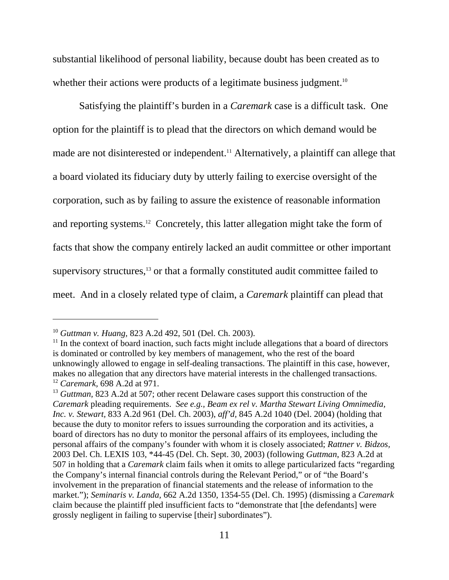substantial likelihood of personal liability, because doubt has been created as to whether their actions were products of a legitimate business judgment.<sup>10</sup>

Satisfying the plaintiff's burden in a *Caremark* case is a difficult task. One option for the plaintiff is to plead that the directors on which demand would be made are not disinterested or independent.<sup>11</sup> Alternatively, a plaintiff can allege that a board violated its fiduciary duty by utterly failing to exercise oversight of the corporation, such as by failing to assure the existence of reasonable information and reporting systems.12 Concretely, this latter allegation might take the form of facts that show the company entirely lacked an audit committee or other important supervisory structures,<sup>13</sup> or that a formally constituted audit committee failed to meet. And in a closely related type of claim, a *Caremark* plaintiff can plead that

<sup>10</sup> *Guttman v. Huang,* 823 A.2d 492, 501 (Del. Ch. 2003).

 $11$  In the context of board inaction, such facts might include allegations that a board of directors is dominated or controlled by key members of management, who the rest of the board unknowingly allowed to engage in self-dealing transactions. The plaintiff in this case, however, makes no allegation that any directors have material interests in the challenged transactions. <sup>12</sup> *Caremark,* 698 A.2d at 971.

<sup>&</sup>lt;sup>13</sup> *Guttman*, 823 A.2d at 507; other recent Delaware cases support this construction of the *Caremark* pleading requirements. *See e.g., Beam ex rel v. Martha Stewart Living Omnimedia, Inc. v. Stewart,* 833 A.2d 961 (Del. Ch. 2003), *aff'd,* 845 A.2d 1040 (Del. 2004) (holding that because the duty to monitor refers to issues surrounding the corporation and its activities, a board of directors has no duty to monitor the personal affairs of its employees, including the personal affairs of the company's founder with whom it is closely associated; *Rattner v. Bidzos,* 2003 Del. Ch. LEXIS 103, \*44-45 (Del. Ch. Sept. 30, 2003) (following *Guttman*, 823 A.2d at 507 in holding that a *Caremark* claim fails when it omits to allege particularized facts "regarding the Company's internal financial controls during the Relevant Period," or of "the Board's involvement in the preparation of financial statements and the release of information to the market."); *Seminaris v. Landa,* 662 A.2d 1350, 1354-55 (Del. Ch. 1995) (dismissing a *Caremark* claim because the plaintiff pled insufficient facts to "demonstrate that [the defendants] were grossly negligent in failing to supervise [their] subordinates").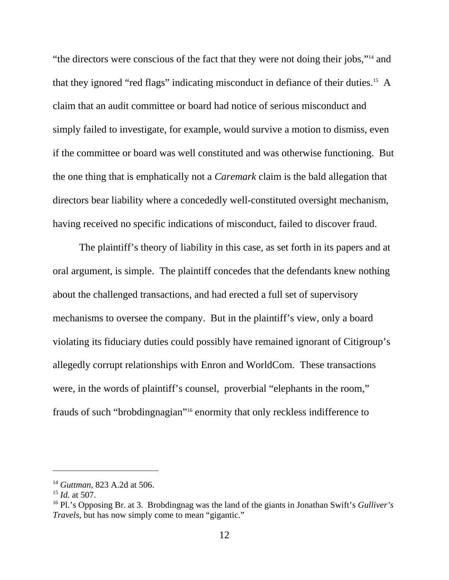"the directors were conscious of the fact that they were not doing their jobs,"14 and that they ignored "red flags" indicating misconduct in defiance of their duties.15 A claim that an audit committee or board had notice of serious misconduct and simply failed to investigate, for example, would survive a motion to dismiss, even if the committee or board was well constituted and was otherwise functioning. But the one thing that is emphatically not a *Caremark* claim is the bald allegation that directors bear liability where a concededly well-constituted oversight mechanism, having received no specific indications of misconduct, failed to discover fraud.

The plaintiff's theory of liability in this case, as set forth in its papers and at oral argument, is simple. The plaintiff concedes that the defendants knew nothing about the challenged transactions, and had erected a full set of supervisory mechanisms to oversee the company. But in the plaintiff's view, only a board violating its fiduciary duties could possibly have remained ignorant of Citigroup's allegedly corrupt relationships with Enron and WorldCom. These transactions were, in the words of plaintiff's counsel, proverbial "elephants in the room," frauds of such "brobdingnagian"16 enormity that only reckless indifference to

<sup>14</sup> *Guttman,* 823 A.2d at 506.

<sup>15</sup> *Id.* at 507.

<sup>16</sup> Pl.'s Opposing Br. at 3. Brobdingnag was the land of the giants in Jonathan Swift's *Gulliver's Travels*, but has now simply come to mean "gigantic."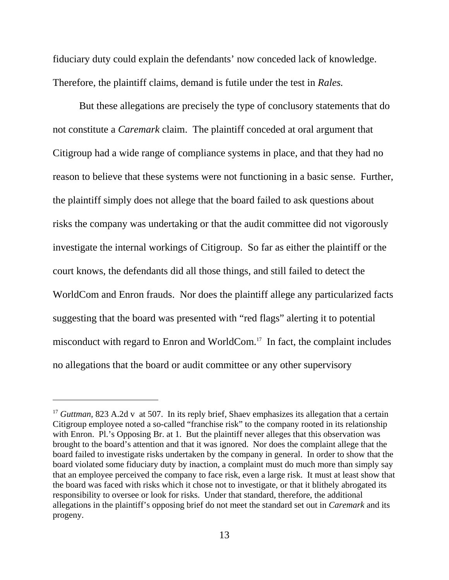fiduciary duty could explain the defendants' now conceded lack of knowledge. Therefore, the plaintiff claims, demand is futile under the test in *Rales.* 

But these allegations are precisely the type of conclusory statements that do not constitute a *Caremark* claim. The plaintiff conceded at oral argument that Citigroup had a wide range of compliance systems in place, and that they had no reason to believe that these systems were not functioning in a basic sense. Further, the plaintiff simply does not allege that the board failed to ask questions about risks the company was undertaking or that the audit committee did not vigorously investigate the internal workings of Citigroup. So far as either the plaintiff or the court knows, the defendants did all those things, and still failed to detect the WorldCom and Enron frauds. Nor does the plaintiff allege any particularized facts suggesting that the board was presented with "red flags" alerting it to potential misconduct with regard to Enron and WorldCom.17 In fact, the complaint includes no allegations that the board or audit committee or any other supervisory

<sup>&</sup>lt;sup>17</sup> *Guttman*, 823 A.2d v at 507. In its reply brief, Shaev emphasizes its allegation that a certain Citigroup employee noted a so-called "franchise risk" to the company rooted in its relationship with Enron. Pl.'s Opposing Br. at 1. But the plaintiff never alleges that this observation was brought to the board's attention and that it was ignored. Nor does the complaint allege that the board failed to investigate risks undertaken by the company in general. In order to show that the board violated some fiduciary duty by inaction, a complaint must do much more than simply say that an employee perceived the company to face risk, even a large risk. It must at least show that the board was faced with risks which it chose not to investigate, or that it blithely abrogated its responsibility to oversee or look for risks. Under that standard, therefore, the additional allegations in the plaintiff's opposing brief do not meet the standard set out in *Caremark* and its progeny.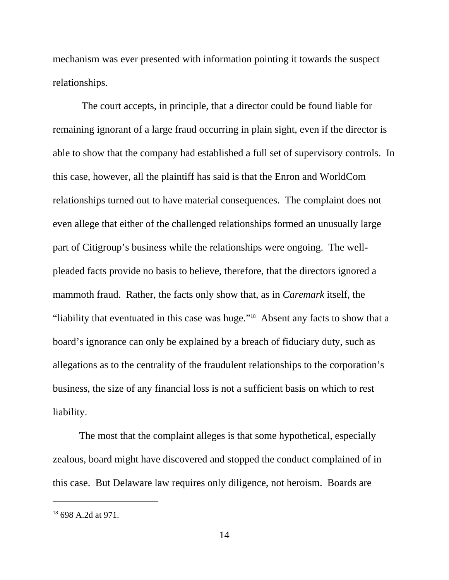mechanism was ever presented with information pointing it towards the suspect relationships.

 The court accepts, in principle, that a director could be found liable for remaining ignorant of a large fraud occurring in plain sight, even if the director is able to show that the company had established a full set of supervisory controls. In this case, however, all the plaintiff has said is that the Enron and WorldCom relationships turned out to have material consequences. The complaint does not even allege that either of the challenged relationships formed an unusually large part of Citigroup's business while the relationships were ongoing. The wellpleaded facts provide no basis to believe, therefore, that the directors ignored a mammoth fraud. Rather, the facts only show that, as in *Caremark* itself, the "liability that eventuated in this case was huge."18 Absent any facts to show that a board's ignorance can only be explained by a breach of fiduciary duty, such as allegations as to the centrality of the fraudulent relationships to the corporation's business, the size of any financial loss is not a sufficient basis on which to rest liability.

The most that the complaint alleges is that some hypothetical, especially zealous, board might have discovered and stopped the conduct complained of in this case. But Delaware law requires only diligence, not heroism. Boards are

<sup>&</sup>lt;sup>18</sup> 698 A.2d at 971.